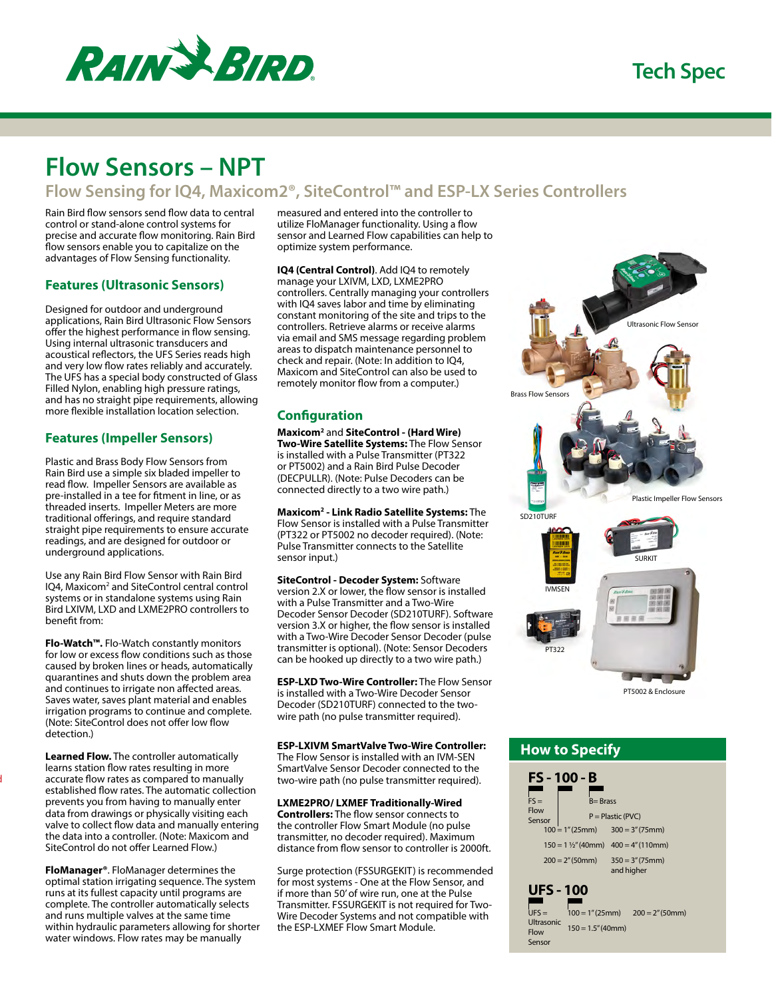

# **Flow Sensors – NPT**

# **Flow Sensing for IQ4, Maxicom2®, SiteControl™ and ESP-LX Series Controllers**

Rain Bird flow sensors send flow data to central control or stand-alone control systems for precise and accurate flow monitoring. Rain Bird flow sensors enable you to capitalize on the advantages of Flow Sensing functionality.

# **Features (Ultrasonic Sensors)**

Designed for outdoor and underground applications, Rain Bird Ultrasonic Flow Sensors offer the highest performance in flow sensing. Using internal ultrasonic transducers and acoustical reflectors, the UFS Series reads high and very low flow rates reliably and accurately. The UFS has a special body constructed of Glass Filled Nylon, enabling high pressure ratings, and has no straight pipe requirements, allowing more flexible installation location selection.

# **Features (Impeller Sensors)**

Plastic and Brass Body Flow Sensors from Rain Bird use a simple six bladed impeller to read flow. Impeller Sensors are available as pre-installed in a tee for fitment in line, or as threaded inserts. Impeller Meters are more traditional offerings, and require standard straight pipe requirements to ensure accurate readings, and are designed for outdoor or underground applications.

Use any Rain Bird Flow Sensor with Rain Bird IQ4, Maxicom<sup>2</sup> and SiteControl central control systems or in standalone systems using Rain Bird LXIVM, LXD and LXME2PRO controllers to benefit from:

**Flo-Watch™.** Flo-Watch constantly monitors for low or excess flow conditions such as those caused by broken lines or heads, automatically quarantines and shuts down the problem area and continues to irrigate non affected areas. Saves water, saves plant material and enables irrigation programs to continue and complete. (Note: SiteControl does not offer low flow detection.)

**Learned Flow.** The controller automatically learns station flow rates resulting in more accurate flow rates as compared to manually established flow rates. The automatic collection prevents you from having to manually enter data from drawings or physically visiting each valve to collect flow data and manually entering the data into a controller. (Note: Maxicom and SiteControl do not offer Learned Flow.)

 $\mathbf l$ 

**FloManager®**. FloManager determines the optimal station irrigating sequence. The system runs at its fullest capacity until programs are complete. The controller automatically selects and runs multiple valves at the same time within hydraulic parameters allowing for shorter water windows. Flow rates may be manually

measured and entered into the controller to utilize FloManager functionality. Using a flow sensor and Learned Flow capabilities can help to optimize system performance.

**IQ4 (Central Control)**. Add IQ4 to remotely manage your LXIVM, LXD, LXME2PRO controllers. Centrally managing your controllers with IQ4 saves labor and time by eliminating constant monitoring of the site and trips to the controllers. Retrieve alarms or receive alarms via email and SMS message regarding problem areas to dispatch maintenance personnel to check and repair. (Note: In addition to IQ4, Maxicom and SiteControl can also be used to remotely monitor flow from a computer.)

# **Configuration**

**Maxicom2** and **SiteControl - (Hard Wire) Two-Wire Satellite Systems:** The Flow Sensor is installed with a Pulse Transmitter (PT322 or PT5002) and a Rain Bird Pulse Decoder (DECPULLR). (Note: Pulse Decoders can be connected directly to a two wire path.)

**Maxicom2 - Link Radio Satellite Systems:** The Flow Sensor is installed with a Pulse Transmitter (PT322 or PT5002 no decoder required). (Note: Pulse Transmitter connects to the Satellite sensor input.)

**SiteControl - Decoder System:** Software version 2.X or lower, the flow sensor is installed with a Pulse Transmitter and a Two-Wire Decoder Sensor Decoder (SD210TURF). Software version 3.X or higher, the flow sensor is installed with a Two-Wire Decoder Sensor Decoder (pulse transmitter is optional). (Note: Sensor Decoders can be hooked up directly to a two wire path.)

**ESP-LXD Two-Wire Controller:** The Flow Sensor is installed with a Two-Wire Decoder Sensor Decoder (SD210TURF) connected to the twowire path (no pulse transmitter required).

**ESP-LXIVM SmartValve Two-Wire Controller:** The Flow Sensor is installed with an IVM-SEN SmartValve Sensor Decoder connected to the two-wire path (no pulse transmitter required).

**LXME2PRO/ LXMEF Traditionally-Wired Controllers:** The flow sensor connects to the controller Flow Smart Module (no pulse transmitter, no decoder required). Maximum distance from flow sensor to controller is 2000ft.

Surge protection (FSSURGEKIT) is recommended for most systems - One at the Flow Sensor, and if more than 50' of wire run, one at the Pulse Transmitter. FSSURGEKIT is not required for Two-Wire Decoder Systems and not compatible with the ESP-LXMEF Flow Smart Module.



PT5002 & Enclosure

# **How to Specify**

| $FS =$                                                      | FS - 100 - B<br>$B = Brass$ |                                                                                      |  |  |
|-------------------------------------------------------------|-----------------------------|--------------------------------------------------------------------------------------|--|--|
| Flow<br>Sensor                                              |                             | $P =$ Plastic (PVC)<br>$100 = 1''(25mm)$ $300 = 3''(75mm)$                           |  |  |
|                                                             | $200 = 2''(50mm)$           | $150 = 1\frac{1}{2}$ " (40mm) $400 = 4$ " (110mm)<br>$350 = 3''(75mm)$<br>and higher |  |  |
| <b>UFS - 100</b><br>$UFS =$<br>Ultrasonic<br>Flow<br>Sensor | $150 = 1.5" (40mm)$         | $100 = 1''(25mm)$ $200 = 2''(50mm)$                                                  |  |  |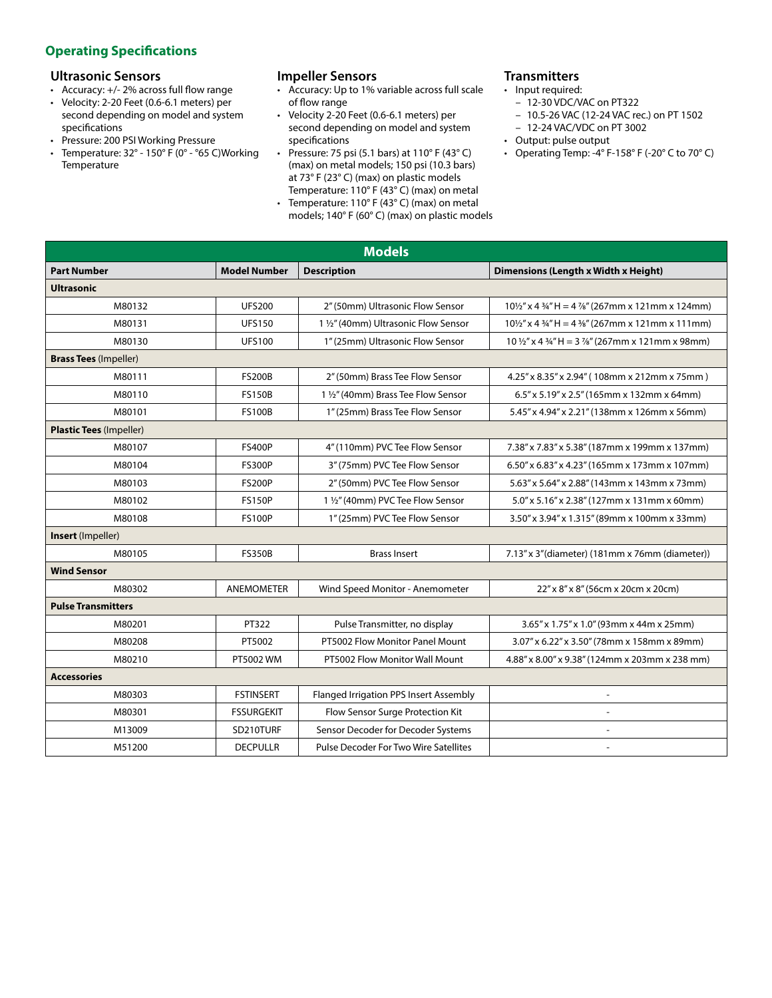# **Operating Specifications**

## **Ultrasonic Sensors**

- Accuracy: +/- 2% across full flow range
- Velocity: 2-20 Feet (0.6-6.1 meters) per second depending on model and system specifications
- Pressure: 200 PSI Working Pressure
- Temperature:  $32^\circ$   $150^\circ$  F (0° °65 C)Working Temperature

# **Impeller Sensors**

- Accuracy: Up to 1% variable across full scale of flow range
- Velocity 2-20 Feet (0.6-6.1 meters) per second depending on model and system specifications
- Pressure: 75 psi (5.1 bars) at  $110^{\circ}$  F (43°C) (max) on metal models; 150 psi (10.3 bars) at 73° F (23° C) (max) on plastic models Temperature: 110° F (43° C) (max) on metal
- Temperature: 110° F (43° C) (max) on metal models; 140° F (60° C) (max) on plastic models

# **Transmitters**

- Input required:
	- 12-30 VDC/VAC on PT322
	- 10.5-26 VAC (12-24 VAC rec.) on PT 1502
- 12-24 VAC/VDC on PT 3002
- Output: pulse output
- Operating Temp: -4° F-158° F (-20° C to 70° C)

| <b>Models</b>                             |                   |                                              |                                                                                     |  |  |  |
|-------------------------------------------|-------------------|----------------------------------------------|-------------------------------------------------------------------------------------|--|--|--|
| <b>Part Number</b><br><b>Model Number</b> |                   | <b>Description</b>                           | Dimensions (Length x Width x Height)                                                |  |  |  |
| <b>Ultrasonic</b>                         |                   |                                              |                                                                                     |  |  |  |
| M80132                                    | <b>UFS200</b>     | 2" (50mm) Ultrasonic Flow Sensor             | $10\frac{1}{2}$ " x 4 ¼" H = 4 ¼" (267mm x 121mm x 124mm)                           |  |  |  |
| M80131                                    | <b>UFS150</b>     | 1 1/2" (40mm) Ultrasonic Flow Sensor         | $10\frac{1}{2}$ " x 4 $\frac{3}{4}$ " H = 4 $\frac{3}{8}$ " (267mm x 121mm x 111mm) |  |  |  |
| M80130                                    | <b>UFS100</b>     | 1" (25mm) Ultrasonic Flow Sensor             | $10\frac{1}{2}$ " x 4 $\frac{3}{4}$ " H = 3 %" (267mm x 121mm x 98mm)               |  |  |  |
| <b>Brass Tees (Impeller)</b>              |                   |                                              |                                                                                     |  |  |  |
| M80111                                    | <b>FS200B</b>     | 2" (50mm) Brass Tee Flow Sensor              | 4.25" x 8.35" x 2.94" (108mm x 212mm x 75mm)                                        |  |  |  |
| M80110                                    | <b>FS150B</b>     | 1 1/2" (40mm) Brass Tee Flow Sensor          | 6.5" x 5.19" x 2.5" (165mm x 132mm x 64mm)                                          |  |  |  |
| M80101                                    | <b>FS100B</b>     | 1" (25mm) Brass Tee Flow Sensor              | 5.45" x 4.94" x 2.21" (138mm x 126mm x 56mm)                                        |  |  |  |
| <b>Plastic Tees (Impeller)</b>            |                   |                                              |                                                                                     |  |  |  |
| M80107                                    | <b>FS400P</b>     | 4" (110mm) PVC Tee Flow Sensor               | 7.38" x 7.83" x 5.38" (187mm x 199mm x 137mm)                                       |  |  |  |
| M80104                                    | <b>FS300P</b>     | 3" (75mm) PVC Tee Flow Sensor                | 6.50" x 6.83" x 4.23" (165mm x 173mm x 107mm)                                       |  |  |  |
| M80103                                    | <b>FS200P</b>     | 2" (50mm) PVC Tee Flow Sensor                | 5.63" x 5.64" x 2.88" (143mm x 143mm x 73mm)                                        |  |  |  |
| M80102                                    | <b>FS150P</b>     | 1 1/2" (40mm) PVC Tee Flow Sensor            | 5.0" x 5.16" x 2.38" (127mm x 131mm x 60mm)                                         |  |  |  |
| M80108                                    | <b>FS100P</b>     | 1" (25mm) PVC Tee Flow Sensor                | 3.50" x 3.94" x 1.315" (89mm x 100mm x 33mm)                                        |  |  |  |
| Insert (Impeller)                         |                   |                                              |                                                                                     |  |  |  |
| M80105                                    | <b>FS350B</b>     | <b>Brass Insert</b>                          | 7.13" x 3" (diameter) (181mm x 76mm (diameter))                                     |  |  |  |
| <b>Wind Sensor</b>                        |                   |                                              |                                                                                     |  |  |  |
| M80302                                    | <b>ANEMOMETER</b> | Wind Speed Monitor - Anemometer              | 22" x 8" x 8" (56cm x 20cm x 20cm)                                                  |  |  |  |
| <b>Pulse Transmitters</b>                 |                   |                                              |                                                                                     |  |  |  |
| M80201                                    | PT322             | Pulse Transmitter, no display                | 3.65" x 1.75" x 1.0" (93mm x 44m x 25mm)                                            |  |  |  |
| M80208                                    | PT5002            | PT5002 Flow Monitor Panel Mount              | 3.07" x 6.22" x 3.50" (78mm x 158mm x 89mm)                                         |  |  |  |
| M80210                                    | PT5002 WM         | PT5002 Flow Monitor Wall Mount               | 4.88" x 8.00" x 9.38" (124mm x 203mm x 238 mm)                                      |  |  |  |
| <b>Accessories</b>                        |                   |                                              |                                                                                     |  |  |  |
| M80303                                    | <b>FSTINSERT</b>  | Flanged Irrigation PPS Insert Assembly       |                                                                                     |  |  |  |
| M80301                                    | <b>FSSURGEKIT</b> | Flow Sensor Surge Protection Kit             | $\qquad \qquad \blacksquare$                                                        |  |  |  |
| M13009                                    | SD210TURF         | Sensor Decoder for Decoder Systems           | $\overline{\phantom{0}}$                                                            |  |  |  |
| M51200                                    | <b>DECPULLR</b>   | <b>Pulse Decoder For Two Wire Satellites</b> | $\overline{\phantom{a}}$                                                            |  |  |  |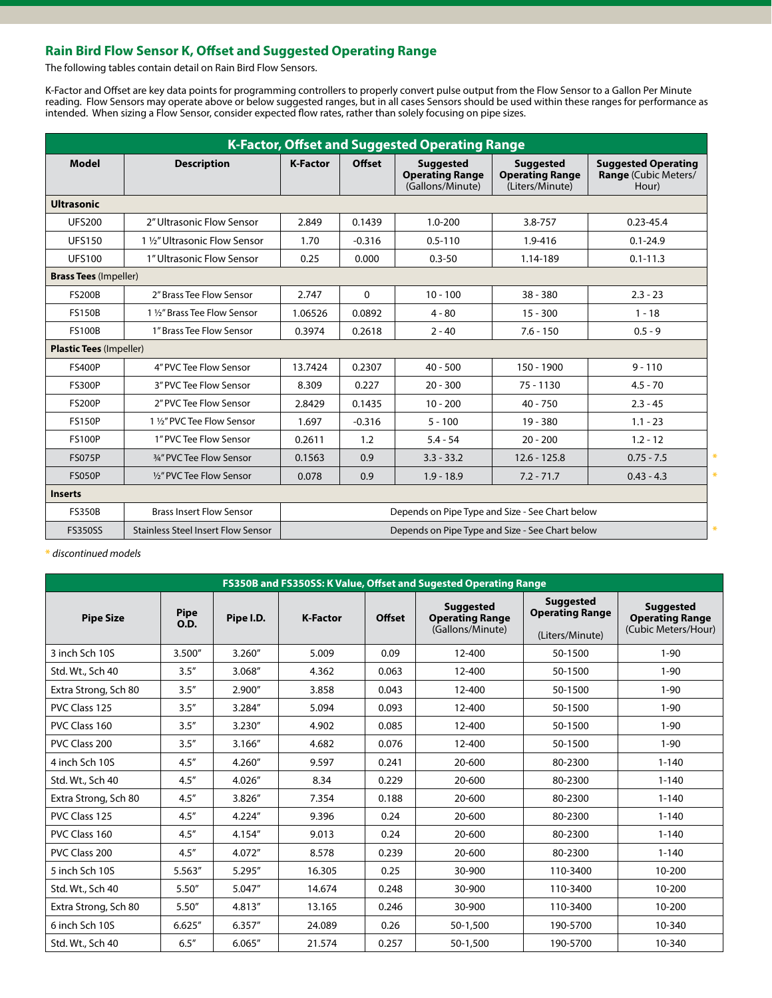# **Rain Bird Flow Sensor K, Offset and Suggested Operating Range**

The following tables contain detail on Rain Bird Flow Sensors.

K-Factor and Offset are key data points for programming controllers to properly convert pulse output from the Flow Sensor to a Gallon Per Minute reading. Flow Sensors may operate above or below suggested ranges, but in all cases Sensors should be used within these ranges for performance as intended. When sizing a Flow Sensor, consider expected flow rates, rather than solely focusing on pipe sizes.

| <b>K-Factor, Offset and Suggested Operating Range</b> |                                           |                                                 |               |                                                                |                                                               |                                                             |  |  |
|-------------------------------------------------------|-------------------------------------------|-------------------------------------------------|---------------|----------------------------------------------------------------|---------------------------------------------------------------|-------------------------------------------------------------|--|--|
| Model                                                 | <b>Description</b>                        | <b>K-Factor</b>                                 | <b>Offset</b> | <b>Suggested</b><br><b>Operating Range</b><br>(Gallons/Minute) | <b>Suggested</b><br><b>Operating Range</b><br>(Liters/Minute) | <b>Suggested Operating</b><br>Range (Cubic Meters/<br>Hour) |  |  |
| <b>Ultrasonic</b>                                     |                                           |                                                 |               |                                                                |                                                               |                                                             |  |  |
| <b>UFS200</b>                                         | 2" Ultrasonic Flow Sensor                 | 2.849                                           | 0.1439        | $1.0 - 200$                                                    | 3.8-757                                                       | $0.23 - 45.4$                                               |  |  |
| <b>UFS150</b>                                         | 1 1/2" Ultrasonic Flow Sensor             | 1.70                                            | $-0.316$      | $0.5 - 110$                                                    | 1.9-416                                                       | $0.1 - 24.9$                                                |  |  |
| <b>UFS100</b>                                         | 1" Ultrasonic Flow Sensor                 | 0.25                                            | 0.000         | $0.3 - 50$                                                     | 1.14-189                                                      | $0.1 - 11.3$                                                |  |  |
| <b>Brass Tees (Impeller)</b>                          |                                           |                                                 |               |                                                                |                                                               |                                                             |  |  |
| <b>FS200B</b>                                         | 2" Brass Tee Flow Sensor                  | 2.747                                           | $\mathbf{0}$  | $10 - 100$                                                     | $38 - 380$                                                    | $2.3 - 23$                                                  |  |  |
| <b>FS150B</b>                                         | 1 1/2" Brass Tee Flow Sensor              | 1.06526                                         | 0.0892        | $4 - 80$                                                       | $15 - 300$                                                    | $1 - 18$                                                    |  |  |
| <b>FS100B</b>                                         | 1" Brass Tee Flow Sensor                  | 0.3974                                          | 0.2618        | $2 - 40$                                                       | $7.6 - 150$                                                   | $0.5 - 9$                                                   |  |  |
| <b>Plastic Tees (Impeller)</b>                        |                                           |                                                 |               |                                                                |                                                               |                                                             |  |  |
| <b>FS400P</b>                                         | 4" PVC Tee Flow Sensor                    | 13.7424                                         | 0.2307        | $40 - 500$                                                     | 150 - 1900                                                    | $9 - 110$                                                   |  |  |
| <b>FS300P</b>                                         | 3" PVC Tee Flow Sensor                    | 8.309                                           | 0.227         | $20 - 300$                                                     | $75 - 1130$                                                   | $4.5 - 70$                                                  |  |  |
| <b>FS200P</b>                                         | 2" PVC Tee Flow Sensor                    | 2.8429                                          | 0.1435        | $10 - 200$                                                     | $40 - 750$                                                    | $2.3 - 45$                                                  |  |  |
| <b>FS150P</b>                                         | 1 1/2" PVC Tee Flow Sensor                | 1.697                                           | $-0.316$      | $5 - 100$                                                      | $19 - 380$                                                    | $1.1 - 23$                                                  |  |  |
| <b>FS100P</b>                                         | 1" PVC Tee Flow Sensor                    | 0.2611                                          | 1.2           | $5.4 - 54$                                                     | $20 - 200$                                                    | $1.2 - 12$                                                  |  |  |
| <b>FS075P</b>                                         | 3/4" PVC Tee Flow Sensor                  | 0.1563                                          | 0.9           | $3.3 - 33.2$                                                   | $12.6 - 125.8$                                                | $0.75 - 7.5$                                                |  |  |
| <b>FS050P</b>                                         | 1/2" PVC Tee Flow Sensor                  | 0.078                                           | 0.9           | $1.9 - 18.9$                                                   | $7.2 - 71.7$                                                  | $0.43 - 4.3$                                                |  |  |
| <b>Inserts</b>                                        |                                           |                                                 |               |                                                                |                                                               |                                                             |  |  |
| <b>FS350B</b>                                         | <b>Brass Insert Flow Sensor</b>           | Depends on Pipe Type and Size - See Chart below |               |                                                                |                                                               |                                                             |  |  |
| <b>FS350SS</b>                                        | <b>Stainless Steel Insert Flow Sensor</b> | Depends on Pipe Type and Size - See Chart below |               |                                                                |                                                               |                                                             |  |  |

**\*** *discontinued models*

| FS350B and FS350SS: K Value, Offset and Sugested Operating Range |                            |           |                 |               |                                                                |                                                               |                                                                   |  |
|------------------------------------------------------------------|----------------------------|-----------|-----------------|---------------|----------------------------------------------------------------|---------------------------------------------------------------|-------------------------------------------------------------------|--|
| <b>Pipe Size</b>                                                 | <b>Pipe</b><br><b>O.D.</b> | Pipe I.D. | <b>K-Factor</b> | <b>Offset</b> | <b>Suggested</b><br><b>Operating Range</b><br>(Gallons/Minute) | <b>Suggested</b><br><b>Operating Range</b><br>(Liters/Minute) | <b>Suggested</b><br><b>Operating Range</b><br>(Cubic Meters/Hour) |  |
| 3 inch Sch 10S                                                   | 3.500"                     | 3.260''   | 5.009           | 0.09          | 12-400                                                         | 50-1500                                                       | $1 - 90$                                                          |  |
| Std. Wt., Sch 40                                                 | 3.5''                      | 3.068"    | 4.362           | 0.063         | 12-400                                                         | 50-1500                                                       | $1 - 90$                                                          |  |
| Extra Strong, Sch 80                                             | 3.5''                      | 2.900"    | 3.858           | 0.043         | 12-400                                                         | 50-1500                                                       | $1 - 90$                                                          |  |
| PVC Class 125                                                    | 3.5''                      | 3.284"    | 5.094           | 0.093         | 12-400                                                         | 50-1500                                                       | $1 - 90$                                                          |  |
| PVC Class 160                                                    | 3.5''                      | 3.230"    | 4.902           | 0.085         | 12-400                                                         | 50-1500                                                       | $1 - 90$                                                          |  |
| PVC Class 200                                                    | 3.5''                      | 3.166"    | 4.682           | 0.076         | 12-400                                                         | 50-1500                                                       | $1 - 90$                                                          |  |
| 4 inch Sch 10S                                                   | 4.5''                      | 4.260"    | 9.597           | 0.241         | 20-600                                                         | 80-2300                                                       | $1 - 140$                                                         |  |
| Std. Wt., Sch 40                                                 | 4.5''                      | 4.026"    | 8.34            | 0.229         | 20-600                                                         | 80-2300                                                       | $1 - 140$                                                         |  |
| Extra Strong, Sch 80                                             | 4.5''                      | 3.826"    | 7.354           | 0.188         | 20-600                                                         | 80-2300                                                       | $1 - 140$                                                         |  |
| PVC Class 125                                                    | 4.5''                      | 4.224"    | 9.396           | 0.24          | 20-600                                                         | 80-2300                                                       | $1 - 140$                                                         |  |
| PVC Class 160                                                    | 4.5''                      | 4.154"    | 9.013           | 0.24          | 20-600                                                         | 80-2300                                                       | $1 - 140$                                                         |  |
| PVC Class 200                                                    | 4.5''                      | 4.072"    | 8.578           | 0.239         | 20-600                                                         | 80-2300                                                       | $1 - 140$                                                         |  |
| 5 inch Sch 10S                                                   | 5.563"                     | 5.295"    | 16.305          | 0.25          | 30-900                                                         | 110-3400                                                      | 10-200                                                            |  |
| Std. Wt., Sch 40                                                 | 5.50''                     | 5.047"    | 14.674          | 0.248         | 30-900                                                         | 110-3400                                                      | 10-200                                                            |  |
| Extra Strong, Sch 80                                             | 5.50''                     | 4.813"    | 13.165          | 0.246         | 30-900                                                         | 110-3400                                                      | 10-200                                                            |  |
| 6 inch Sch 10S                                                   | 6.625''                    | 6.357"    | 24.089          | 0.26          | 50-1,500                                                       | 190-5700                                                      | 10-340                                                            |  |
| Std. Wt., Sch 40                                                 | 6.5''                      | 6.065"    | 21.574          | 0.257         | 50-1.500                                                       | 190-5700                                                      | 10-340                                                            |  |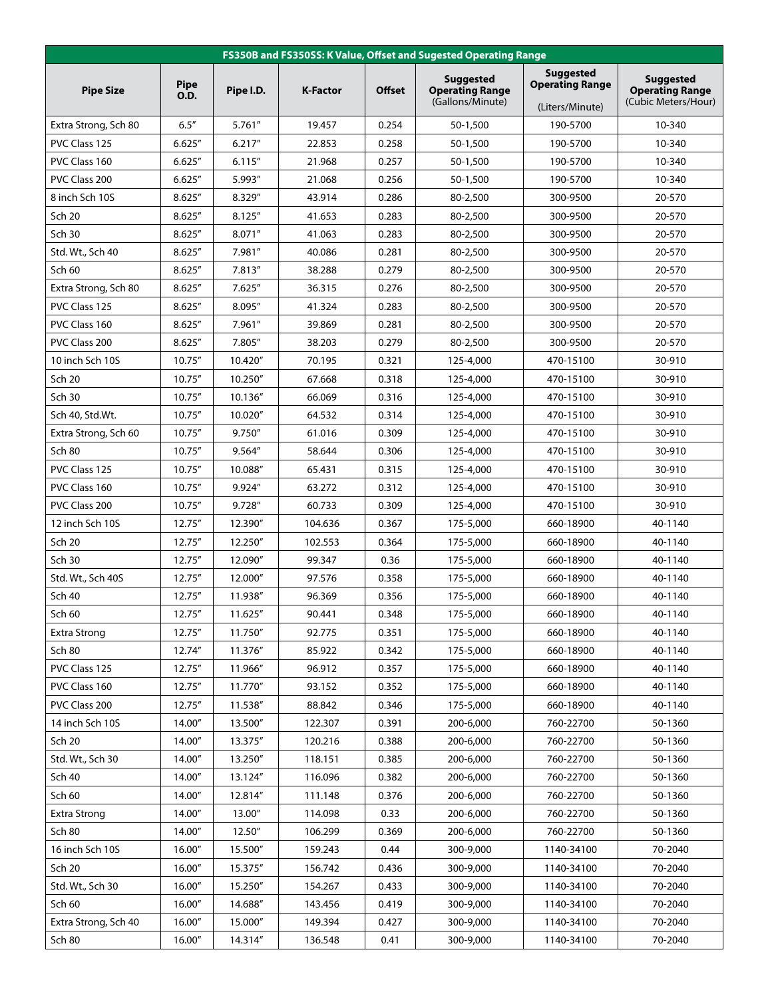| FS350B and FS350SS: K Value, Offset and Sugested Operating Range |                            |           |                 |               |                                                                |                                                               |                                                                   |  |
|------------------------------------------------------------------|----------------------------|-----------|-----------------|---------------|----------------------------------------------------------------|---------------------------------------------------------------|-------------------------------------------------------------------|--|
| <b>Pipe Size</b>                                                 | <b>Pipe</b><br><b>O.D.</b> | Pipe I.D. | <b>K-Factor</b> | <b>Offset</b> | <b>Suggested</b><br><b>Operating Range</b><br>(Gallons/Minute) | <b>Suggested</b><br><b>Operating Range</b><br>(Liters/Minute) | <b>Suggested</b><br><b>Operating Range</b><br>(Cubic Meters/Hour) |  |
| Extra Strong, Sch 80                                             | 6.5''                      | 5.761''   | 19.457          | 0.254         | 50-1,500                                                       | 190-5700                                                      | 10-340                                                            |  |
| PVC Class 125                                                    | 6.625''                    | 6.217''   | 22.853          | 0.258         | 50-1,500                                                       | 190-5700                                                      | 10-340                                                            |  |
| PVC Class 160                                                    | 6.625''                    | 6.115''   | 21.968          | 0.257         | 50-1,500                                                       | 190-5700                                                      | 10-340                                                            |  |
| PVC Class 200                                                    | 6.625''                    | 5.993"    | 21.068          | 0.256         | 50-1,500                                                       | 190-5700                                                      | 10-340                                                            |  |
| 8 inch Sch 10S                                                   | 8.625''                    | 8.329"    | 43.914          | 0.286         | 80-2,500                                                       | 300-9500                                                      | 20-570                                                            |  |
| <b>Sch 20</b>                                                    | 8.625''                    | 8.125''   | 41.653          | 0.283         | 80-2,500                                                       | 300-9500                                                      | 20-570                                                            |  |
| <b>Sch 30</b>                                                    | 8.625''                    | 8.071"    | 41.063          | 0.283         | 80-2,500                                                       | 300-9500                                                      | 20-570                                                            |  |
| Std. Wt., Sch 40                                                 | 8.625''                    | 7.981"    | 40.086          | 0.281         | 80-2,500                                                       | 300-9500                                                      | 20-570                                                            |  |
| Sch 60                                                           | 8.625''                    | 7.813"    | 38.288          | 0.279         | 80-2,500                                                       | 300-9500                                                      | 20-570                                                            |  |
| Extra Strong, Sch 80                                             | 8.625''                    | 7.625''   | 36.315          | 0.276         | 80-2.500                                                       | 300-9500                                                      | 20-570                                                            |  |
| PVC Class 125                                                    | 8.625''                    | 8.095"    | 41.324          | 0.283         | 80-2,500                                                       | 300-9500                                                      | 20-570                                                            |  |
| PVC Class 160                                                    | 8.625''                    | 7.961"    | 39.869          | 0.281         | 80-2,500                                                       | 300-9500                                                      | 20-570                                                            |  |
| PVC Class 200                                                    | 8.625''                    | 7.805"    | 38.203          | 0.279         | 80-2,500                                                       | 300-9500                                                      | 20-570                                                            |  |
| 10 inch Sch 10S                                                  | 10.75"                     | 10.420"   | 70.195          | 0.321         | 125-4,000                                                      | 470-15100                                                     | 30-910                                                            |  |
| Sch 20                                                           | 10.75''                    | 10.250"   | 67.668          | 0.318         | 125-4,000                                                      | 470-15100                                                     | 30-910                                                            |  |
| Sch 30                                                           | 10.75''                    | 10.136"   | 66.069          | 0.316         | 125-4,000                                                      | 470-15100                                                     | 30-910                                                            |  |
| Sch 40, Std.Wt.                                                  | 10.75"                     | 10.020"   | 64.532          | 0.314         | 125-4,000                                                      | 470-15100                                                     | 30-910                                                            |  |
| Extra Strong, Sch 60                                             | 10.75"                     | 9.750"    | 61.016          | 0.309         | 125-4,000                                                      | 470-15100                                                     | 30-910                                                            |  |
| <b>Sch 80</b>                                                    | 10.75"                     | 9.564"    | 58.644          | 0.306         | 125-4,000                                                      | 470-15100                                                     | 30-910                                                            |  |
| PVC Class 125                                                    | 10.75"                     | 10.088"   | 65.431          | 0.315         | 125-4,000                                                      | 470-15100                                                     | 30-910                                                            |  |
| PVC Class 160                                                    | 10.75''                    | 9.924"    | 63.272          | 0.312         | 125-4,000                                                      | 470-15100                                                     | 30-910                                                            |  |
| PVC Class 200                                                    | 10.75"                     | 9.728"    | 60.733          | 0.309         | 125-4,000                                                      | 470-15100                                                     | 30-910                                                            |  |
| 12 inch Sch 10S                                                  | 12.75"                     | 12.390"   | 104.636         | 0.367         | 175-5,000                                                      | 660-18900                                                     | 40-1140                                                           |  |
| <b>Sch 20</b>                                                    | 12.75"                     | 12.250"   | 102.553         | 0.364         | 175-5,000                                                      | 660-18900                                                     | 40-1140                                                           |  |
| Sch 30                                                           | 12.75"                     | 12.090"   | 99.347          | 0.36          | 175-5,000                                                      | 660-18900                                                     | 40-1140                                                           |  |
| Std. Wt., Sch 40S                                                | 12.75"                     | 12.000"   | 97.576          | 0.358         | 175-5,000                                                      | 660-18900                                                     | 40-1140                                                           |  |
|                                                                  |                            |           |                 |               |                                                                |                                                               |                                                                   |  |
| Sch 40                                                           | 12.75''                    | 11.938"   | 96.369          | 0.356         | 175-5,000                                                      | 660-18900                                                     | 40-1140                                                           |  |
| Sch 60                                                           | 12.75''                    | 11.625"   | 90.441          | 0.348         | 175-5,000                                                      | 660-18900                                                     | 40-1140                                                           |  |
| <b>Extra Strong</b>                                              | 12.75''                    | 11.750"   | 92.775          | 0.351         | 175-5,000                                                      | 660-18900                                                     | 40-1140                                                           |  |
| Sch 80                                                           | 12.74"                     | 11.376"   | 85.922          | 0.342         | 175-5,000                                                      | 660-18900                                                     | 40-1140                                                           |  |
| PVC Class 125                                                    | 12.75''                    | 11.966"   | 96.912          | 0.357         | 175-5,000                                                      | 660-18900                                                     | 40-1140                                                           |  |
| PVC Class 160                                                    | 12.75"                     | 11.770"   | 93.152          | 0.352         | 175-5,000                                                      | 660-18900                                                     | 40-1140                                                           |  |
| PVC Class 200                                                    | 12.75''                    | 11.538"   | 88.842          | 0.346         | 175-5,000                                                      | 660-18900                                                     | 40-1140                                                           |  |
| 14 inch Sch 10S                                                  | 14.00"                     | 13.500"   | 122.307         | 0.391         | 200-6,000                                                      | 760-22700                                                     | 50-1360                                                           |  |
| <b>Sch 20</b>                                                    | 14.00"                     | 13.375"   | 120.216         | 0.388         | 200-6,000                                                      | 760-22700                                                     | 50-1360                                                           |  |
| Std. Wt., Sch 30                                                 | 14.00"                     | 13.250"   | 118.151         | 0.385         | 200-6,000                                                      | 760-22700                                                     | 50-1360                                                           |  |
| <b>Sch 40</b>                                                    | 14.00"                     | 13.124"   | 116.096         | 0.382         | 200-6,000                                                      | 760-22700                                                     | 50-1360                                                           |  |
| Sch 60                                                           | 14.00"                     | 12.814"   | 111.148         | 0.376         | 200-6,000                                                      | 760-22700                                                     | 50-1360                                                           |  |
| <b>Extra Strong</b>                                              | 14.00"                     | 13.00"    | 114.098         | 0.33          | 200-6,000                                                      | 760-22700                                                     | 50-1360                                                           |  |
| Sch 80                                                           | 14.00"                     | 12.50"    | 106.299         | 0.369         | 200-6,000                                                      | 760-22700                                                     | 50-1360                                                           |  |
| 16 inch Sch 10S                                                  | 16.00"                     | 15.500"   | 159.243         | 0.44          | 300-9,000                                                      | 1140-34100                                                    | 70-2040                                                           |  |
| <b>Sch 20</b>                                                    | 16.00"                     | 15.375"   | 156.742         | 0.436         | 300-9,000                                                      | 1140-34100                                                    | 70-2040                                                           |  |
| Std. Wt., Sch 30                                                 | 16.00"                     | 15.250"   | 154.267         | 0.433         | 300-9,000                                                      | 1140-34100                                                    | 70-2040                                                           |  |
| Sch 60                                                           | 16.00"                     | 14.688"   | 143.456         | 0.419         | 300-9,000                                                      | 1140-34100                                                    | 70-2040                                                           |  |
| Extra Strong, Sch 40                                             | 16.00"                     | 15.000"   | 149.394         | 0.427         | 300-9,000                                                      | 1140-34100                                                    | 70-2040                                                           |  |
| Sch 80                                                           | 16.00"                     | 14.314"   | 136.548         | 0.41          | 300-9,000                                                      | 1140-34100                                                    | 70-2040                                                           |  |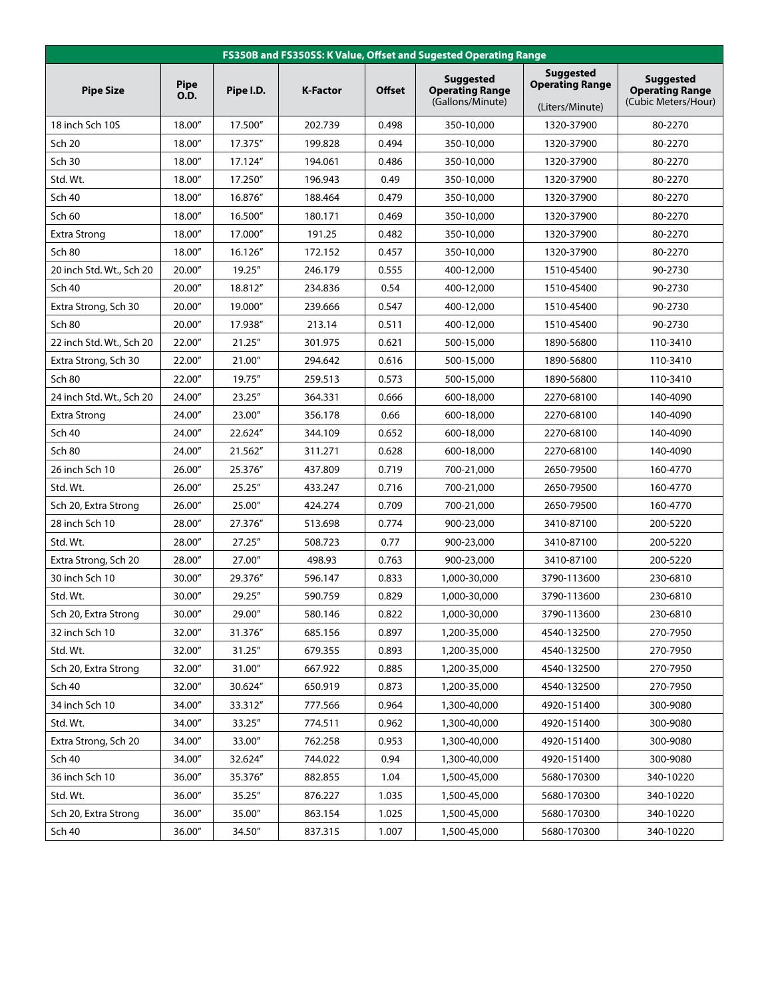| FS350B and FS350SS: K Value, Offset and Sugested Operating Range |                            |           |                 |               |                                                                |                                                               |                                                                   |  |
|------------------------------------------------------------------|----------------------------|-----------|-----------------|---------------|----------------------------------------------------------------|---------------------------------------------------------------|-------------------------------------------------------------------|--|
| <b>Pipe Size</b>                                                 | <b>Pipe</b><br><b>O.D.</b> | Pipe I.D. | <b>K-Factor</b> | <b>Offset</b> | <b>Suggested</b><br><b>Operating Range</b><br>(Gallons/Minute) | <b>Suggested</b><br><b>Operating Range</b><br>(Liters/Minute) | <b>Suggested</b><br><b>Operating Range</b><br>(Cubic Meters/Hour) |  |
| 18 inch Sch 10S                                                  | 18.00"                     | 17.500"   | 202.739         | 0.498         | 350-10,000                                                     | 1320-37900                                                    | 80-2270                                                           |  |
| <b>Sch 20</b>                                                    | 18.00"                     | 17.375"   | 199.828         | 0.494         | 350-10,000                                                     | 1320-37900                                                    | 80-2270                                                           |  |
| Sch 30                                                           | 18.00"                     | 17.124"   | 194.061         | 0.486         | 350-10,000                                                     | 1320-37900                                                    | 80-2270                                                           |  |
| Std. Wt.                                                         | 18.00"                     | 17.250"   | 196.943         | 0.49          | 350-10,000                                                     | 1320-37900                                                    | 80-2270                                                           |  |
| <b>Sch 40</b>                                                    | 18.00"                     | 16.876"   | 188.464         | 0.479         | 350-10,000                                                     | 1320-37900                                                    | 80-2270                                                           |  |
| Sch 60                                                           | 18.00"                     | 16.500"   | 180.171         | 0.469         | 350-10,000                                                     | 1320-37900                                                    | 80-2270                                                           |  |
| <b>Extra Strong</b>                                              | 18.00"                     | 17.000"   | 191.25          | 0.482         | 350-10,000                                                     | 1320-37900                                                    | 80-2270                                                           |  |
| Sch 80                                                           | 18.00"                     | 16.126"   | 172.152         | 0.457         | 350-10,000                                                     | 1320-37900                                                    | 80-2270                                                           |  |
| 20 inch Std. Wt., Sch 20                                         | 20.00"                     | 19.25"    | 246.179         | 0.555         | 400-12,000                                                     | 1510-45400                                                    | 90-2730                                                           |  |
| <b>Sch 40</b>                                                    | 20.00"                     | 18.812"   | 234.836         | 0.54          | 400-12,000                                                     | 1510-45400                                                    | 90-2730                                                           |  |
| Extra Strong, Sch 30                                             | 20.00"                     | 19.000"   | 239.666         | 0.547         | 400-12.000                                                     | 1510-45400                                                    | 90-2730                                                           |  |
| Sch 80                                                           | 20.00"                     | 17.938"   | 213.14          | 0.511         | 400-12,000                                                     | 1510-45400                                                    | 90-2730                                                           |  |
| 22 inch Std. Wt., Sch 20                                         | 22.00"                     | 21.25"    | 301.975         | 0.621         | 500-15,000                                                     | 1890-56800                                                    | 110-3410                                                          |  |
| Extra Strong, Sch 30                                             | 22.00"                     | 21.00"    | 294.642         | 0.616         | 500-15,000                                                     | 1890-56800                                                    | 110-3410                                                          |  |
| <b>Sch 80</b>                                                    | 22.00"                     | 19.75"    | 259.513         | 0.573         | 500-15,000                                                     | 1890-56800                                                    | 110-3410                                                          |  |
| 24 inch Std. Wt., Sch 20                                         | 24.00"                     | 23.25"    | 364.331         | 0.666         | 600-18,000                                                     | 2270-68100                                                    | 140-4090                                                          |  |
| <b>Extra Strong</b>                                              | 24.00"                     | 23.00"    | 356.178         | 0.66          | 600-18,000                                                     | 2270-68100                                                    | 140-4090                                                          |  |
| <b>Sch 40</b>                                                    | 24.00"                     | 22.624"   | 344.109         | 0.652         | 600-18,000                                                     | 2270-68100                                                    | 140-4090                                                          |  |
| <b>Sch 80</b>                                                    | 24.00"                     | 21.562"   | 311.271         | 0.628         | 600-18,000                                                     | 2270-68100                                                    | 140-4090                                                          |  |
| 26 inch Sch 10                                                   | 26.00"                     | 25.376"   | 437.809         | 0.719         | 700-21,000                                                     | 2650-79500                                                    | 160-4770                                                          |  |
| Std. Wt.                                                         | 26.00"                     | 25.25"    | 433.247         | 0.716         | 700-21,000                                                     | 2650-79500                                                    | 160-4770                                                          |  |
| Sch 20, Extra Strong                                             | 26.00"                     | 25.00"    | 424.274         | 0.709         | 700-21,000                                                     | 2650-79500                                                    | 160-4770                                                          |  |
| 28 inch Sch 10                                                   | 28.00"                     | 27.376"   | 513.698         | 0.774         | 900-23,000                                                     | 3410-87100                                                    | 200-5220                                                          |  |
| Std. Wt.                                                         | 28.00"                     | 27.25"    | 508.723         | 0.77          | 900-23,000                                                     | 3410-87100                                                    | 200-5220                                                          |  |
| Extra Strong, Sch 20                                             | 28.00"                     | 27.00"    | 498.93          | 0.763         | 900-23,000                                                     | 3410-87100                                                    | 200-5220                                                          |  |
| 30 inch Sch 10                                                   | 30.00"                     | 29.376"   | 596.147         | 0.833         | 1,000-30,000                                                   | 3790-113600                                                   | 230-6810                                                          |  |
| Std. Wt.                                                         | 30.00"                     | 29.25"    | 590.759         | 0.829         | 1,000-30,000                                                   | 3790-113600                                                   | 230-6810                                                          |  |
| Sch 20, Extra Strong                                             | 30.00"                     | 29.00"    | 580.146         | 0.822         | 1,000-30,000                                                   | 3790-113600                                                   | 230-6810                                                          |  |
| 32 inch Sch 10                                                   | 32.00"                     | 31.376"   | 685.156         | 0.897         | 1,200-35,000                                                   | 4540-132500                                                   | 270-7950                                                          |  |
| Std. Wt.                                                         | 32.00"                     | 31.25"    | 679.355         | 0.893         | 1,200-35,000                                                   | 4540-132500                                                   | 270-7950                                                          |  |
| Sch 20, Extra Strong                                             | 32.00"                     | 31.00"    | 667.922         | 0.885         | 1,200-35,000                                                   | 4540-132500                                                   | 270-7950                                                          |  |
| Sch 40                                                           | 32.00"                     | 30.624"   | 650.919         | 0.873         | 1,200-35,000                                                   | 4540-132500                                                   | 270-7950                                                          |  |
| 34 inch Sch 10                                                   | 34.00"                     | 33.312"   | 777.566         | 0.964         | 1,300-40,000                                                   | 4920-151400                                                   | 300-9080                                                          |  |
| Std. Wt.                                                         | 34.00"                     | 33.25"    | 774.511         | 0.962         | 1,300-40,000                                                   | 4920-151400                                                   | 300-9080                                                          |  |
| Extra Strong, Sch 20                                             | 34.00"                     | 33.00"    | 762.258         | 0.953         | 1,300-40,000                                                   | 4920-151400                                                   | 300-9080                                                          |  |
| <b>Sch 40</b>                                                    | 34.00"                     | 32.624"   | 744.022         | 0.94          | 1,300-40,000                                                   | 4920-151400                                                   | 300-9080                                                          |  |
| 36 inch Sch 10                                                   | 36.00″                     | 35.376"   | 882.855         | 1.04          | 1,500-45,000                                                   | 5680-170300                                                   | 340-10220                                                         |  |
| Std. Wt.                                                         | 36.00"                     | 35.25''   | 876.227         | 1.035         | 1,500-45,000                                                   | 5680-170300                                                   | 340-10220                                                         |  |
| Sch 20, Extra Strong                                             | 36.00"                     | 35.00"    | 863.154         | 1.025         | 1,500-45,000                                                   | 5680-170300                                                   | 340-10220                                                         |  |
| Sch 40                                                           | 36.00"                     | 34.50"    | 837.315         | 1.007         | 1,500-45,000                                                   | 5680-170300                                                   | 340-10220                                                         |  |